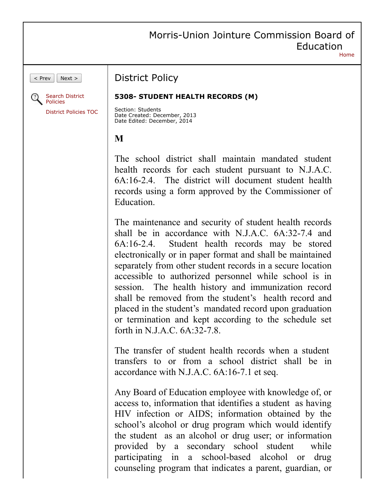## Morris-Union Jointure Commission Board of Education [Home](https://www.straussesmay.com/seportal/Public/pubElanOnline.aspx?id=7d147b08a92148acabedc71e0d200241)

 $\vert$  Prev  $\vert$  Next >



## District Policy

## **5308- STUDENT HEALTH RECORDS (M)**

Section: Students Date Created: December, 2013 Date Edited: December, 2014

## **M**

The school district shall maintain mandated student health records for each student pursuant to N.J.A.C. 6A:16-2.4. The district will document student health records using a form approved by the Commissioner of Education.

The maintenance and security of student health records shall be in accordance with N.J.A.C. 6A:32-7.4 and 6A:16-2.4. Student health records may be stored electronically or in paper format and shall be maintained separately from other student records in a secure location accessible to authorized personnel while school is in session. The health history and immunization record shall be removed from the student's health record and placed in the student's mandated record upon graduation or termination and kept according to the schedule set forth in N.J.A.C. 6A:32-7.8.

The transfer of student health records when a student transfers to or from a school district shall be in accordance with N.J.A.C. 6A:16-7.1 et seq.

Any Board of Education employee with knowledge of, or access to, information that identifies a student as having HIV infection or AIDS; information obtained by the school's alcohol or drug program which would identify the student as an alcohol or drug user; or information provided by a secondary school student while participating in a school-based alcohol or drug counseling program that indicates a parent, guardian, or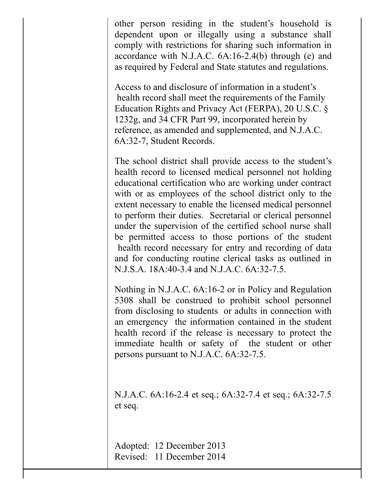other person residing in the student's household is dependent upon or illegally using a substance shall comply with restrictions for sharing such information in accordance with N.J.A.C. 6A:16-2.4(b) through (e) and as required by Federal and State statutes and regulations.

Access to and disclosure of information in a student's health record shall meet the requirements of the Family Education Rights and Privacy Act (FERPA), 20 U.S.C. § 1232g, and 34 CFR Part 99, incorporated herein by reference, as amended and supplemented, and N.J.A.C. 6A:32-7, Student Records.

The school district shall provide access to the student's health record to licensed medical personnel not holding educational certification who are working under contract with or as employees of the school district only to the extent necessary to enable the licensed medical personnel to perform their duties. Secretarial or clerical personnel under the supervision of the certified school nurse shall be permitted access to those portions of the student health record necessary for entry and recording of data and for conducting routine clerical tasks as outlined in N.J.S.A. 18A:40-3.4 and N.J.A.C. 6A:32-7.5.

Nothing in N.J.A.C. 6A:16-2 or in Policy and Regulation 5308 shall be construed to prohibit school personnel from disclosing to students or adults in connection with an emergency the information contained in the student health record if the release is necessary to protect the immediate health or safety of the student or other persons pursuant to N.J.A.C. 6A:32-7.5.

N.J.A.C. 6A:16-2.4 et seq.; 6A:32-7.4 et seq.; 6A:32-7.5 et seq.

Adopted: 12 December 2013 Revised: 11 December 2014